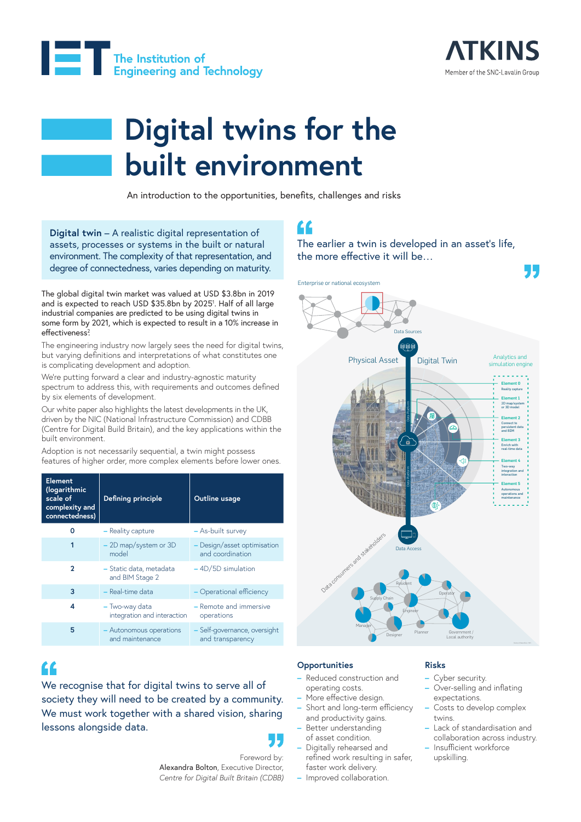



# **Digital twins for the built environment**

An introduction to the opportunities, benefits, challenges and risks

**Digital twin** – A realistic digital representation of assets, processes or systems in the built or natural environment. The complexity of that representation, and degree of connectedness, varies depending on maturity.

The global digital twin market was valued at USD \$3.8bn in 2019 and is expected to reach USD \$35.8bn by 20251 . Half of all large industrial companies are predicted to be using digital twins in some form by 2021, which is expected to result in a 10% increase in effectiveness?

The engineering industry now largely sees the need for digital twins, but varying definitions and interpretations of what constitutes one is complicating development and adoption.

We're putting forward a clear and industry-agnostic maturity spectrum to address this, with requirements and outcomes defined by six elements of development.

Our white paper also highlights the latest developments in the UK, driven by the NIC (National Infrastructure Commission) and CDBB (Centre for Digital Build Britain), and the key applications within the built environment.

Adoption is not necessarily sequential, a twin might possess features of higher order, more complex elements before lower ones.

| <b>Element</b><br>(logarithmic<br>scale of<br>complexity and<br>connectedness) | Defining principle                            | Outline usage                                    |
|--------------------------------------------------------------------------------|-----------------------------------------------|--------------------------------------------------|
| O                                                                              | - Reality capture                             | - As-built survey                                |
| 1                                                                              | $-$ 2D map/system or 3D<br>model              | - Design/asset optimisation<br>and coordination  |
| $\mathbf{2}$                                                                   | - Static data, metadata<br>and BIM Stage 2    | $-4D/5D$ simulation                              |
| 3                                                                              | $-$ Real-time data                            | - Operational efficiency                         |
| 4                                                                              | - Two-way data<br>integration and interaction | - Remote and immersive<br>operations             |
| 5                                                                              | - Autonomous operations<br>and maintenance    | - Self-governance, oversight<br>and transparency |

# $\epsilon$

We recognise that for digital twins to serve all of society they will need to be created by a community. We must work together with a shared vision, sharing lessons alongside data.

# "

Foreword by: Alexandra Bolton, Executive Director, *Centre for Digital Built Britain (CDBB)*

# "

The earlier a twin is developed in an asset's life, the more effective it will be…



### **Opportunities**

- **–** Reduced construction and operating costs.
- **–** More effective design.
- **–** Short and long-term efficiency and productivity gains.
- **–** Better understanding of asset condition.
- **–** Digitally rehearsed and refined work resulting in safer, faster work delivery.
- **–** Improved collaboration.

### **Risks**

- **–** Cyber security.
- **–** Over-selling and inflating expectations.
- **–** Costs to develop complex twins.
- **–** Lack of standardisation and collaboration across industry.
- **–** Insufficient workforce upskilling.